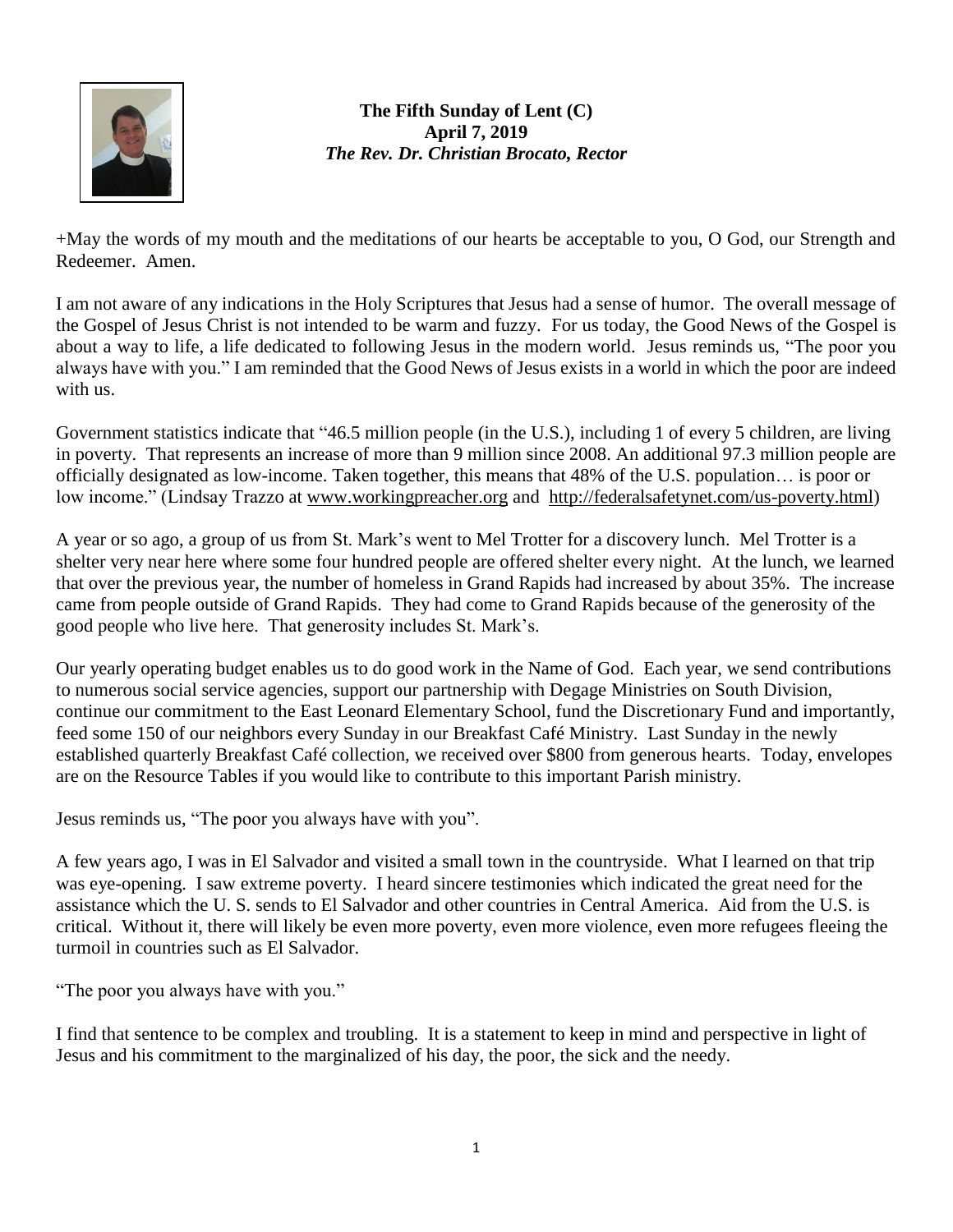

## **The Fifth Sunday of Lent (C) April 7, 2019** *The Rev. Dr. Christian Brocato, Rector*

+May the words of my mouth and the meditations of our hearts be acceptable to you, O God, our Strength and Redeemer. Amen.

I am not aware of any indications in the Holy Scriptures that Jesus had a sense of humor. The overall message of the Gospel of Jesus Christ is not intended to be warm and fuzzy. For us today, the Good News of the Gospel is about a way to life, a life dedicated to following Jesus in the modern world. Jesus reminds us, "The poor you always have with you." I am reminded that the Good News of Jesus exists in a world in which the poor are indeed with us.

Government statistics indicate that "46.5 million people (in the U.S.), including 1 of every 5 children, are living in poverty. That represents an increase of more than 9 million since 2008. An additional 97.3 million people are officially designated as low-income. Taken together, this means that 48% of the U.S. population… is poor or low income." (Lindsay Trazzo at [www.workingpreacher.org](http://www.workingpreacher.org/) and [http://federalsafetynet.com/us-poverty.html\)](http://federalsafetynet.com/us-poverty.html)

A year or so ago, a group of us from St. Mark's went to Mel Trotter for a discovery lunch. Mel Trotter is a shelter very near here where some four hundred people are offered shelter every night. At the lunch, we learned that over the previous year, the number of homeless in Grand Rapids had increased by about 35%. The increase came from people outside of Grand Rapids. They had come to Grand Rapids because of the generosity of the good people who live here. That generosity includes St. Mark's.

Our yearly operating budget enables us to do good work in the Name of God. Each year, we send contributions to numerous social service agencies, support our partnership with Degage Ministries on South Division, continue our commitment to the East Leonard Elementary School, fund the Discretionary Fund and importantly, feed some 150 of our neighbors every Sunday in our Breakfast Café Ministry. Last Sunday in the newly established quarterly Breakfast Café collection, we received over \$800 from generous hearts. Today, envelopes are on the Resource Tables if you would like to contribute to this important Parish ministry.

Jesus reminds us, "The poor you always have with you".

A few years ago, I was in El Salvador and visited a small town in the countryside. What I learned on that trip was eye-opening. I saw extreme poverty. I heard sincere testimonies which indicated the great need for the assistance which the U. S. sends to El Salvador and other countries in Central America. Aid from the U.S. is critical. Without it, there will likely be even more poverty, even more violence, even more refugees fleeing the turmoil in countries such as El Salvador.

"The poor you always have with you."

I find that sentence to be complex and troubling. It is a statement to keep in mind and perspective in light of Jesus and his commitment to the marginalized of his day, the poor, the sick and the needy.